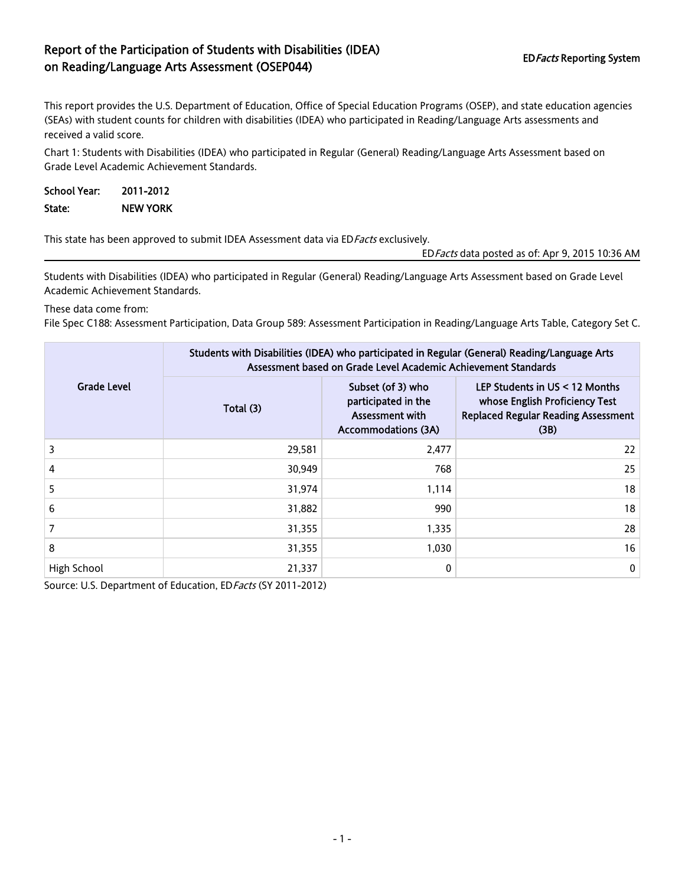## Report of the Participation of Students with Disabilities (IDEA) EDFacts Reporting System<br>
on Reading/Language Arts Assessment (OSEP044)

This report provides the U.S. Department of Education, Office of Special Education Programs (OSEP), and state education agencies (SEAs) with student counts for children with disabilities (IDEA) who participated in Reading/Language Arts assessments and received a valid score.

Chart 1: Students with Disabilities (IDEA) who participated in Regular (General) Reading/Language Arts Assessment based on Grade Level Academic Achievement Standards.

| School Year: | 2011-2012       |
|--------------|-----------------|
| State:       | <b>NEW YORK</b> |

This state has been approved to submit IDEA Assessment data via ED Facts exclusively.

EDFacts data posted as of: Apr 9, 2015 10:36 AM

Students with Disabilities (IDEA) who participated in Regular (General) Reading/Language Arts Assessment based on Grade Level Academic Achievement Standards.

These data come from:

File Spec C188: Assessment Participation, Data Group 589: Assessment Participation in Reading/Language Arts Table, Category Set C.

|             | Students with Disabilities (IDEA) who participated in Regular (General) Reading/Language Arts<br>Assessment based on Grade Level Academic Achievement Standards |                                                                                                  |                                                                                                                         |  |
|-------------|-----------------------------------------------------------------------------------------------------------------------------------------------------------------|--------------------------------------------------------------------------------------------------|-------------------------------------------------------------------------------------------------------------------------|--|
| Grade Level | Total (3)                                                                                                                                                       | Subset (of 3) who<br>participated in the<br><b>Assessment with</b><br><b>Accommodations (3A)</b> | LEP Students in $US < 12$ Months<br>whose English Proficiency Test<br><b>Replaced Regular Reading Assessment</b><br>(B) |  |
| 3           | 29,581                                                                                                                                                          | 2,477                                                                                            | 22                                                                                                                      |  |
| 4           | 30,949                                                                                                                                                          | 768                                                                                              | 25                                                                                                                      |  |
| 5           | 31,974                                                                                                                                                          | 1,114                                                                                            | 18                                                                                                                      |  |
| 6           | 31,882                                                                                                                                                          | 990                                                                                              | 18                                                                                                                      |  |
| 7           | 31,355                                                                                                                                                          | 1,335                                                                                            | 28                                                                                                                      |  |
| 8           | 31,355                                                                                                                                                          | 1,030                                                                                            | 16                                                                                                                      |  |
| High School | 21,337                                                                                                                                                          | 0                                                                                                | $\mathbf 0$                                                                                                             |  |

Source: U.S. Department of Education, ED Facts (SY 2011-2012)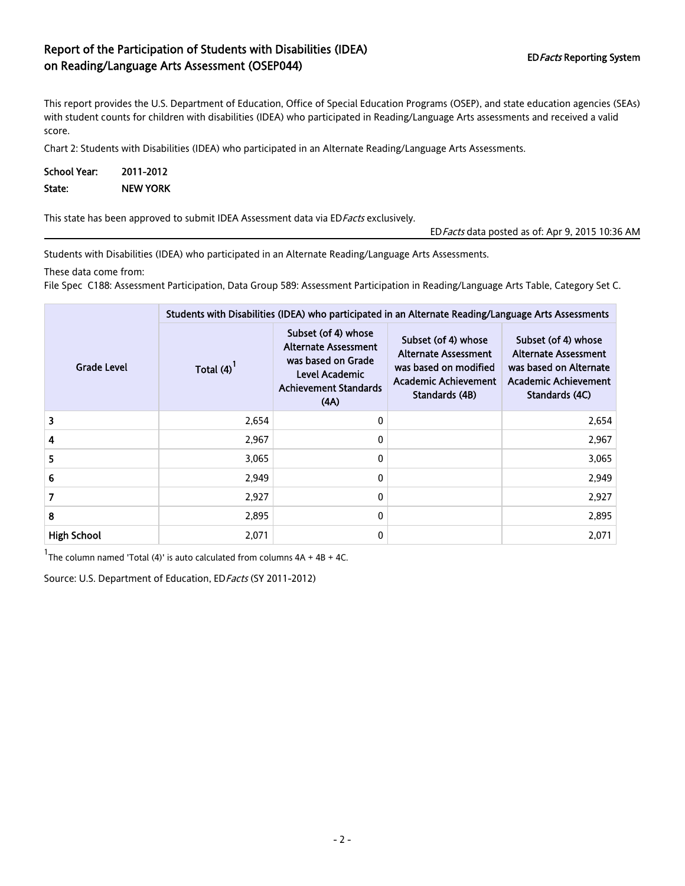## Report of the Participation of Students with Disabilities (IDEA) EDFacts Reporting System on Reading/Language Arts Assessment (OSEP044)

This report provides the U.S. Department of Education, Office of Special Education Programs (OSEP), and state education agencies (SEAs) with student counts for children with disabilities (IDEA) who participated in Reading/Language Arts assessments and received a valid score.

Chart 2: Students with Disabilities (IDEA) who participated in an Alternate Reading/Language Arts Assessments.

| <b>School Year:</b> | 2011-2012       |  |  |
|---------------------|-----------------|--|--|
| State:              | <b>NEW YORK</b> |  |  |

This state has been approved to submit IDEA Assessment data via ED Facts exclusively.

EDFacts data posted as of: Apr 9, 2015 10:36 AM

Students with Disabilities (IDEA) who participated in an Alternate Reading/Language Arts Assessments.

These data come from:

File Spec C188: Assessment Participation, Data Group 589: Assessment Participation in Reading/Language Arts Table, Category Set C.

|                    | Students with Disabilities (IDEA) who participated in an Alternate Reading/Language Arts Assessments |                                                                                                                                    |                                                                                                                              |                                                                                                                        |  |
|--------------------|------------------------------------------------------------------------------------------------------|------------------------------------------------------------------------------------------------------------------------------------|------------------------------------------------------------------------------------------------------------------------------|------------------------------------------------------------------------------------------------------------------------|--|
| Grade Level        | Total (4)                                                                                            | Subset (of 4) whose<br><b>Alternate Assessment</b><br>was based on Grade<br>Level Academic<br><b>Achievement Standards</b><br>(AA) | Subset (of 4) whose<br><b>Alternate Assessment</b><br>was based on modified<br><b>Academic Achievement</b><br>Standards (4B) | Subset (of 4) whose<br><b>Alternate Assessment</b><br>was based on Alternate<br>Academic Achievement<br>Standards (4C) |  |
| 3                  | 2,654                                                                                                | $\mathbf{0}$                                                                                                                       |                                                                                                                              | 2,654                                                                                                                  |  |
| 4                  | 2.967                                                                                                | $\mathbf 0$                                                                                                                        |                                                                                                                              | 2,967                                                                                                                  |  |
| 5                  | 3,065                                                                                                | $\mathbf 0$                                                                                                                        |                                                                                                                              | 3,065                                                                                                                  |  |
| 6                  | 2,949                                                                                                | $\mathbf 0$                                                                                                                        |                                                                                                                              | 2,949                                                                                                                  |  |
| 7                  | 2,927                                                                                                | $\mathbf{0}$                                                                                                                       |                                                                                                                              | 2,927                                                                                                                  |  |
| 8                  | 2,895                                                                                                | $\mathbf{0}$                                                                                                                       |                                                                                                                              | 2,895                                                                                                                  |  |
| <b>High School</b> | 2,071                                                                                                | $\Omega$                                                                                                                           |                                                                                                                              | 2,071                                                                                                                  |  |

 $1$ The column named 'Total (4)' is auto calculated from columns  $4A + 4B + 4C$ .

Source: U.S. Department of Education, ED Facts (SY 2011-2012)